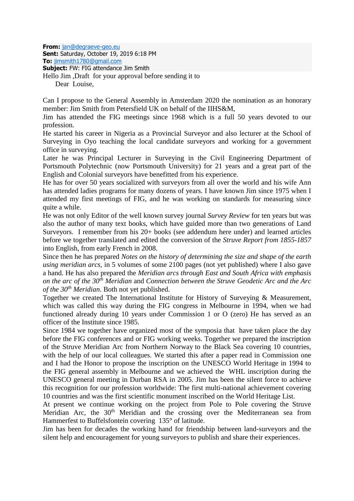**From:** [jan@degraeve-geo.eu](mailto:jan@degraeve-geo.eu) **Sent:** Saturday, October 19, 2019 6:18 PM **To:** [jimsmith1780@gmail.com](mailto:jimsmith1780@gmail.com) **Subject:** FW: FIG attendance Jim Smith Hello Jim ,Draft for your approval before sending it to Dear Louise,

Can I propose to the General Assembly in Amsterdam 2020 the nomination as an honorary member: Jim Smith from Petersfield UK on behalf of the IIHS&M,

Jim has attended the FIG meetings since 1968 which is a full 50 years devoted to our profession.

He started his career in Nigeria as a Provincial Surveyor and also lecturer at the School of Surveying in Oyo teaching the local candidate surveyors and working for a government office in surveying.

Later he was Principal Lecturer in Surveying in the Civil Engineering Department of Portsmouth Polytechnic (now Portsmouth University) for 21 years and a great part of the English and Colonial surveyors have benefitted from his experience.

He has for over 50 years socialized with surveyors from all over the world and his wife Ann has attended ladies programs for many dozens of years. I have known Jim since 1975 when I attended my first meetings of FIG, and he was working on standards for measuring since quite a while.

He was not only Editor of the well known survey journal *Survey Review* for ten years but was also the author of many text books, which have guided more than two generations of Land Surveyors. I remember from his 20+ books (see addendum here under) and learned articles before we together translated and edited the conversion of the *Struve Report from 1855-1857* into English, from early French in 2008.

Since then he has prepared *Notes on the history of determining the size and shape of the earth using meridian arcs,* in 5 volumes of some 2100 pages (not yet published) where I also gave a hand. He has also prepared the *Meridian arcs through East and South Africa with emphasis on the arc of the 30th Meridian* and *Connection between the Struve Geodetic Arc and the Arc of the 30th Meridian*. Both not yet published.

Together we created The International Institute for History of Surveying & Measurement, which was called this way during the FIG congress in Melbourne in 1994, when we had functioned already during 10 years under Commission 1 or O (zero) He has served as an officer of the Institute since 1985.

Since 1984 we together have organized most of the symposia that have taken place the day before the FIG conferences and or FIG working weeks. Together we prepared the inscription of the Struve Meridian Arc from Northern Norway to the Black Sea covering 10 countries, with the help of our local colleagues. We started this after a paper read in Commission one and I had the Honor to propose the inscription on the UNESCO World Heritage in 1994 to the FIG general assembly in Melbourne and we achieved the WHL inscription during the UNESCO general meeting in Durban RSA in 2005. Jim has been the silent force to achieve this recognition for our profession worldwide: The first multi-national achievement covering 10 countries and was the first scientific monument inscribed on the World Heritage List.

At present we continue working on the project from Pole to Pole covering the Struve Meridian Arc, the 30<sup>th</sup> Meridian and the crossing over the Mediterranean sea from Hammerfest to Buffelsfontein covering 135° of latitude.

Jim has been for decades the working hand for friendship between land-surveyors and the silent help and encouragement for young surveyors to publish and share their experiences.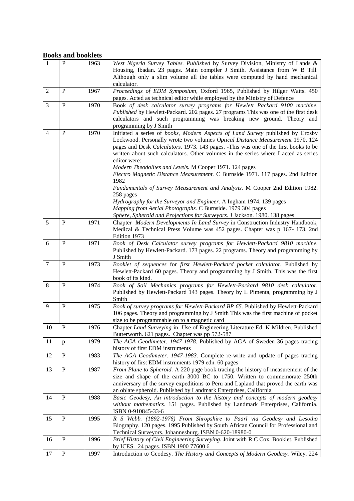## **Books and booklets**

| $\mathbf{1}$   | $\mathbf{P}$ | 1963 | West Nigeria Survey Tables. Published by Survey Division, Ministry of Lands &<br>Housing, Ibadan. 23 pages. Main compiler J Smith. Assistance from W B Till.<br>Although only a slim volume all the tables were computed by hand mechanical<br>calculator.                                                                                                                                                                                                                                                                                                                                                                                                                                                                                           |
|----------------|--------------|------|------------------------------------------------------------------------------------------------------------------------------------------------------------------------------------------------------------------------------------------------------------------------------------------------------------------------------------------------------------------------------------------------------------------------------------------------------------------------------------------------------------------------------------------------------------------------------------------------------------------------------------------------------------------------------------------------------------------------------------------------------|
| $\overline{2}$ | $\mathbf{P}$ | 1967 | Proceedings of EDM Symposium, Oxford 1965, Published by Hilger Watts. 450<br>pages. Acted as technical editor while employed by the Ministry of Defence                                                                                                                                                                                                                                                                                                                                                                                                                                                                                                                                                                                              |
| 3              | $\mathbf{P}$ | 1970 | Book of desk calculator survey programs for Hewlett Packard 9100 machine.<br>Published by Hewlett-Packard. 202 pages. 27 programs This was one of the first desk<br>calculators and such programming was breaking new ground. Theory and<br>programming by J Smith                                                                                                                                                                                                                                                                                                                                                                                                                                                                                   |
| $\overline{4}$ | P            | 1970 | Initiated a series of books, Modern Aspects of Land Survey published by Crosby<br>Lockwood. Personally wrote two volumes Optical Distance Measurement 1970. 124<br>pages and Desk Calculators. 1973. 143 pages. -This was one of the first books to be<br>written about such calculators. Other volumes in the series where I acted as series<br>editor were:<br>Modern Theodolites and Levels. M Cooper 1971. 124 pages<br>Electro Magnetic Distance Measurement. C Burnside 1971. 117 pages. 2nd Edition<br>1982<br>Fundamentals of Survey Measurement and Analysis. M Cooper 2nd Edition 1982.<br>258 pages<br>Hydrography for the Surveyor and Engineer. A Ingham 1974. 139 pages<br>Mapping from Aerial Photographs. C Burnside. 1979 304 pages |
| 5              | $\mathbf{P}$ | 1971 | Sphere, Spheroid and Projections for Surveyors. J Jackson. 1980. 138 pages<br>Chapter Modern Developments In Land Survey in Construction Industry Handbook,<br>Medical & Technical Press Volume was 452 pages. Chapter was p 167-173. 2nd<br>Edition 1973                                                                                                                                                                                                                                                                                                                                                                                                                                                                                            |
| 6              | $\mathbf{P}$ | 1971 | Book of Desk Calculator survey programs for Hewlett-Packard 9810 machine.<br>Published by Hewlett-Packard. 173 pages. 22 programs. Theory and programming by<br>J Smith                                                                                                                                                                                                                                                                                                                                                                                                                                                                                                                                                                              |
| $\tau$         | $\, {\bf P}$ | 1973 | Booklet of sequences for first Hewlett-Packard pocket calculator. Published by<br>Hewlett-Packard 60 pages. Theory and programming by J Smith. This was the first<br>book of its kind.                                                                                                                                                                                                                                                                                                                                                                                                                                                                                                                                                               |
| 8              | $\mathbf{P}$ | 1974 | Book of Soil Mechanics programs for Hewlett-Packard 9810 desk calculator.<br>Published by Hewlett-Packard 143 pages. Theory by L Pimenta, programming by J<br>Smith                                                                                                                                                                                                                                                                                                                                                                                                                                                                                                                                                                                  |
| 9              | $\mathbf{P}$ | 1975 | Book of survey programs for Hewlett-Packard BP 65. Published by Hewlett-Packard<br>106 pages. Theory and programming by J Smith This was the first machine of pocket<br>size to be programmable on to a magnetic card                                                                                                                                                                                                                                                                                                                                                                                                                                                                                                                                |
| 10             | P            | 1976 | Chapter <i>Land Surveying</i> in Use of Engineering Literature Ed. K Mildren. Published<br>Butterworth. 621 pages. Chapter was pp 572-587                                                                                                                                                                                                                                                                                                                                                                                                                                                                                                                                                                                                            |
| 11             | p            | 1979 | The AGA Geodimeter. 1947-1978. Published by AGA of Sweden 36 pages tracing<br>history of first EDM instruments                                                                                                                                                                                                                                                                                                                                                                                                                                                                                                                                                                                                                                       |
| 12             | $\, {\bf P}$ | 1983 | The AGA Geodimeter. 1947-1983. Complete re-write and update of pages tracing<br>history of first EDM instruments 1979 edn. 60 pages                                                                                                                                                                                                                                                                                                                                                                                                                                                                                                                                                                                                                  |
| 13             | $\, {\bf P}$ | 1987 | From Plane to Spheroid. A 220 page book tracing the history of measurement of the<br>size and shape of the earth 3000 BC to 1750. Written to commemorate 250th<br>anniversary of the survey expeditions to Peru and Lapland that proved the earth was<br>an oblate spheroid. Published by Landmark Enterprises, California                                                                                                                                                                                                                                                                                                                                                                                                                           |
| 14             | $\mathbf{P}$ | 1988 | Basic Geodesy, An introduction to the history and concepts of modern geodesy<br>without mathematics. 151 pages. Published by Landmark Enterprises, California.<br>ISBN 0-910845-33-6                                                                                                                                                                                                                                                                                                                                                                                                                                                                                                                                                                 |
| 15             | $\mathbf{P}$ | 1995 | R S Webb. (1892-1976) From Shropshire to Paarl via Geodesy and Lesotho<br>Biography. 120 pages. 1995 Published by South African Council for Professional and<br>Technical Surveyors. Johannesburg. ISBN 0-620-18980-0                                                                                                                                                                                                                                                                                                                                                                                                                                                                                                                                |
| 16             | $\, {\bf P}$ | 1996 | Brief History of Civil Engineering Surveying. Joint with R C Cox. Booklet. Published<br>by ICES. 24 pages. ISBN 1900 77600 6                                                                                                                                                                                                                                                                                                                                                                                                                                                                                                                                                                                                                         |
| 17             | $\, {\bf P}$ | 1997 | Introduction to Geodesy. The History and Concepts of Modern Geodesy. Wiley. 224                                                                                                                                                                                                                                                                                                                                                                                                                                                                                                                                                                                                                                                                      |